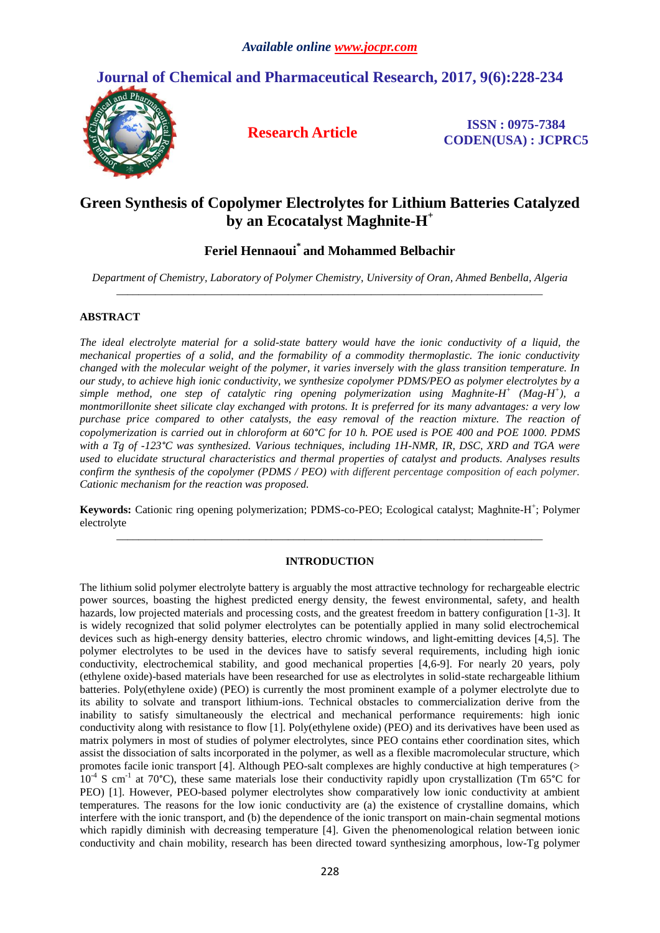

# **Green Synthesis of Copolymer Electrolytes for Lithium Batteries Catalyzed by an Ecocatalyst Maghnite-H +**

# **Feriel Hennaoui\* and Mohammed Belbachir**

*Department of Chemistry, Laboratory of Polymer Chemistry, University of Oran, Ahmed Benbella, Algeria \_\_\_\_\_\_\_\_\_\_\_\_\_\_\_\_\_\_\_\_\_\_\_\_\_\_\_\_\_\_\_\_\_\_\_\_\_\_\_\_\_\_\_\_\_\_\_\_\_\_\_\_\_\_\_\_\_\_\_\_\_\_\_\_\_\_\_\_\_\_\_\_\_\_\_\_\_*

# **ABSTRACT**

*The ideal electrolyte material for a solid-state battery would have the ionic conductivity of a liquid, the mechanical properties of a solid, and the formability of a commodity thermoplastic. The ionic conductivity changed with the molecular weight of the polymer, it varies inversely with the glass transition temperature. In our study, to achieve high ionic conductivity, we synthesize copolymer PDMS/PEO as polymer electrolytes by a simple method, one step of catalytic ring opening polymerization using Maghnite-H + (Mag-H + ), a montmorillonite sheet silicate clay exchanged with protons. It is preferred for its many advantages: a very low purchase price compared to other catalysts, the easy removal of the reaction mixture. The reaction of copolymerization is carried out in chloroform at 60°C for 10 h. POE used is POE 400 and POE 1000. PDMS with a Tg of -123°C was synthesized. Various techniques, including 1H-NMR, IR, DSC, XRD and TGA were used to elucidate structural characteristics and thermal properties of catalyst and products. Analyses results confirm the synthesis of the copolymer (PDMS / PEO) with different percentage composition of each polymer. Cationic mechanism for the reaction was proposed.*

Keywords: Cationic ring opening polymerization; PDMS-co-PEO; Ecological catalyst; Maghnite-H<sup>+</sup>; Polymer electrolyte *\_\_\_\_\_\_\_\_\_\_\_\_\_\_\_\_\_\_\_\_\_\_\_\_\_\_\_\_\_\_\_\_\_\_\_\_\_\_\_\_\_\_\_\_\_\_\_\_\_\_\_\_\_\_\_\_\_\_\_\_\_\_\_\_\_\_\_\_\_\_\_\_\_\_\_\_\_*

# **INTRODUCTION**

The lithium solid polymer electrolyte battery is arguably the most attractive technology for rechargeable electric power sources, boasting the highest predicted energy density, the fewest environmental, safety, and health hazards, low projected materials and processing costs, and the greatest freedom in battery configuration [1-3]. It is widely recognized that solid polymer electrolytes can be potentially applied in many solid electrochemical devices such as high-energy density batteries, electro chromic windows, and light-emitting devices [4,5]. The polymer electrolytes to be used in the devices have to satisfy several requirements, including high ionic conductivity, electrochemical stability, and good mechanical properties [4,6-9]. For nearly 20 years, poly (ethylene oxide)-based materials have been researched for use as electrolytes in solid-state rechargeable lithium batteries. Poly(ethylene oxide) (PEO) is currently the most prominent example of a polymer electrolyte due to its ability to solvate and transport lithium-ions. Technical obstacles to commercialization derive from the inability to satisfy simultaneously the electrical and mechanical performance requirements: high ionic conductivity along with resistance to flow [1]. Poly(ethylene oxide) (PEO) and its derivatives have been used as matrix polymers in most of studies of polymer electrolytes, since PEO contains ether coordination sites, which assist the dissociation of salts incorporated in the polymer, as well as a flexible macromolecular structure, which promotes facile ionic transport [4]. Although PEO-salt complexes are highly conductive at high temperatures (> 10<sup>4</sup> S cm<sup>-1</sup> at 70°C), these same materials lose their conductivity rapidly upon crystallization (Tm 65°C for PEO) [1]. However, PEO-based polymer electrolytes show comparatively low ionic conductivity at ambient temperatures. The reasons for the low ionic conductivity are (a) the existence of crystalline domains, which interfere with the ionic transport, and (b) the dependence of the ionic transport on main-chain segmental motions which rapidly diminish with decreasing temperature [4]. Given the phenomenological relation between ionic conductivity and chain mobility, research has been directed toward synthesizing amorphous, low-Tg polymer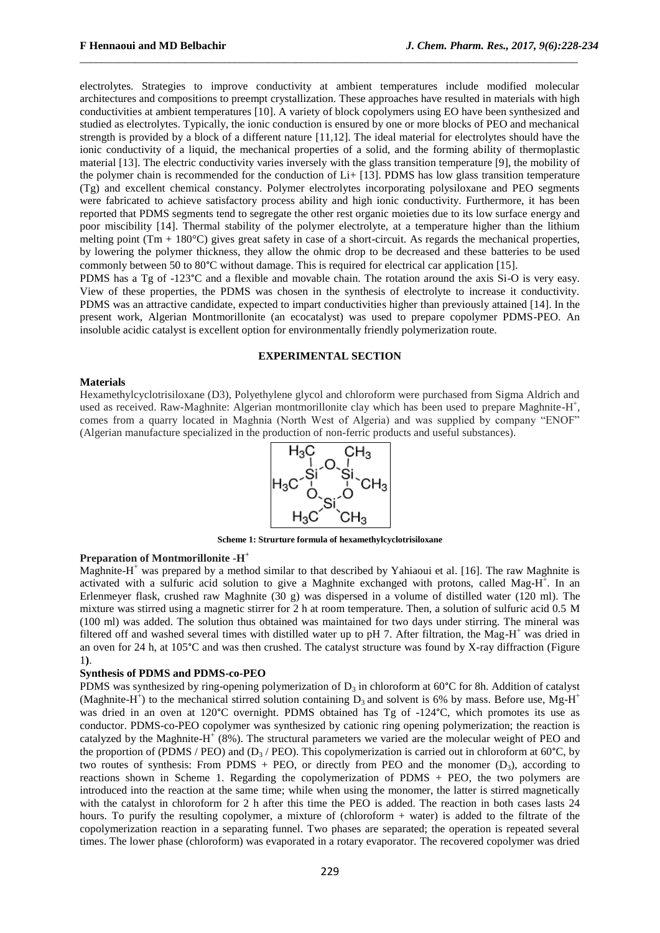electrolytes. Strategies to improve conductivity at ambient temperatures include modified molecular architectures and compositions to preempt crystallization. These approaches have resulted in materials with high conductivities at ambient temperatures [10]. A variety of block copolymers using EO have been synthesized and studied as electrolytes. Typically, the ionic conduction is ensured by one or more blocks of PEO and mechanical strength is provided by a block of a different nature [11,12]. The ideal material for electrolytes should have the ionic conductivity of a liquid, the mechanical properties of a solid, and the forming ability of thermoplastic material [13]. The electric conductivity varies inversely with the glass transition temperature [9], the mobility of the polymer chain is recommended for the conduction of Li+ [13]. PDMS has low glass transition temperature (Tg) and excellent chemical constancy. Polymer electrolytes incorporating polysiloxane and PEO segments were fabricated to achieve satisfactory process ability and high ionic conductivity. Furthermore, it has been reported that PDMS segments tend to segregate the other rest organic moieties due to its low surface energy and poor miscibility [14]. Thermal stability of the polymer electrolyte, at a temperature higher than the lithium melting point (Tm  $+ 180^{\circ}$ C) gives great safety in case of a short-circuit. As regards the mechanical properties, by lowering the polymer thickness, they allow the ohmic drop to be decreased and these batteries to be used commonly between 50 to 80°C without damage. This is required for electrical car application [15].

\_\_\_\_\_\_\_\_\_\_\_\_\_\_\_\_\_\_\_\_\_\_\_\_\_\_\_\_\_\_\_\_\_\_\_\_\_\_\_\_\_\_\_\_\_\_\_\_\_\_\_\_\_\_\_\_\_\_\_\_\_\_\_\_\_\_\_\_\_\_\_\_\_\_\_\_\_\_\_\_\_\_\_\_\_\_\_\_\_\_

PDMS has a Tg of -123°C and a flexible and movable chain. The rotation around the axis Si-O is very easy. View of these properties, the PDMS was chosen in the synthesis of electrolyte to increase it conductivity. PDMS was an attractive candidate, expected to impart conductivities higher than previously attained [14]. In the present work, Algerian Montmorillonite (an ecocatalyst) was used to prepare copolymer PDMS-PEO. An insoluble acidic catalyst is excellent option for environmentally friendly polymerization route.

## **EXPERIMENTAL SECTION**

#### **Materials**

Hexamethylcyclotrisiloxane (D3), Polyethylene glycol and chloroform were purchased from Sigma Aldrich and used as received. Raw-Maghnite: Algerian montmorillonite clay which has been used to prepare Maghnite-H<sup>+</sup>, comes from a quarry located in Maghnia (North West of Algeria) and was supplied by company "ENOF" (Algerian manufacture specialized in the production of non-ferric products and useful substances).



**Scheme 1: Strurture formula of hexamethylcyclotrisiloxane**

# **Preparation of Montmorillonite -H +**

Maghnite- $H^+$  was prepared by a method similar to that described by Yahiaoui et al. [16]. The raw Maghnite is activated with a sulfuric acid solution to give a Maghnite exchanged with protons, called Mag-H<sup>+</sup>. In an Erlenmeyer flask, crushed raw Maghnite (30 g) was dispersed in a volume of distilled water (120 ml). The mixture was stirred using a magnetic stirrer for 2 h at room temperature. Then, a solution of sulfuric acid 0.5 M (100 ml) was added. The solution thus obtained was maintained for two days under stirring. The mineral was filtered off and washed several times with distilled water up to pH 7. After filtration, the Mag-H<sup>+</sup> was dried in an oven for 24 h, at 105°C and was then crushed. The catalyst structure was found by X-ray diffraction (Figure 1**)**.

## **Synthesis of PDMS and PDMS-co-PEO**

PDMS was synthesized by ring-opening polymerization of  $D_3$  in chloroform at 60°C for 8h. Addition of catalyst (Maghnite-H<sup>+</sup>) to the mechanical stirred solution containing  $D_3$  and solvent is 6% by mass. Before use, Mg-H<sup>+</sup> was dried in an oven at 120°C overnight. PDMS obtained has Tg of -124°C, which promotes its use as conductor. PDMS-co-PEO copolymer was synthesized by cationic ring opening polymerization; the reaction is catalyzed by the Maghnite- $H^+(8)$ %). The structural parameters we varied are the molecular weight of PEO and the proportion of (PDMS / PEO) and ( $D_3$  / PEO). This copolymerization is carried out in chloroform at 60°C, by two routes of synthesis: From PDMS + PEO, or directly from PEO and the monomer  $(D_3)$ , according to reactions shown in Scheme 1. Regarding the copolymerization of PDMS + PEO, the two polymers are introduced into the reaction at the same time; while when using the monomer, the latter is stirred magnetically with the catalyst in chloroform for 2 h after this time the PEO is added. The reaction in both cases lasts 24 hours. To purify the resulting copolymer, a mixture of (chloroform + water) is added to the filtrate of the copolymerization reaction in a separating funnel. Two phases are separated; the operation is repeated several times. The lower phase (chloroform) was evaporated in a rotary evaporator. The recovered copolymer was dried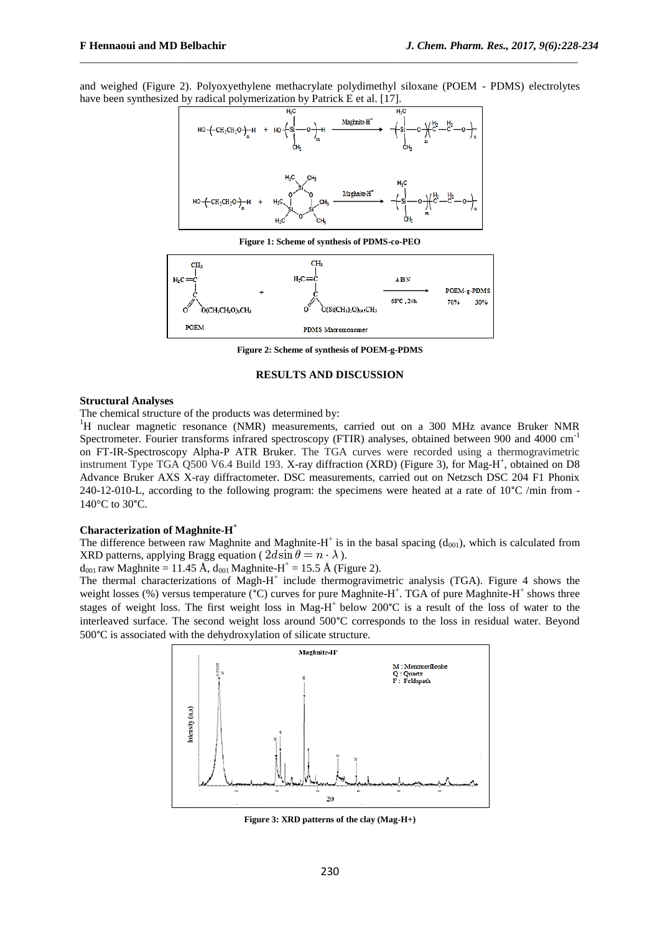and weighed (Figure 2). Polyoxyethylene methacrylate polydimethyl siloxane (POEM - PDMS) electrolytes have been synthesized by radical polymerization by Patrick E et al. [17].

\_\_\_\_\_\_\_\_\_\_\_\_\_\_\_\_\_\_\_\_\_\_\_\_\_\_\_\_\_\_\_\_\_\_\_\_\_\_\_\_\_\_\_\_\_\_\_\_\_\_\_\_\_\_\_\_\_\_\_\_\_\_\_\_\_\_\_\_\_\_\_\_\_\_\_\_\_\_\_\_\_\_\_\_\_\_\_\_\_\_



**Figure 1: Scheme of synthesis of PDMS-co-PEO**



**Figure 2: Scheme of synthesis of POEM-g-PDMS**

## **RESULTS AND DISCUSSION**

#### **Structural Analyses**

The chemical structure of the products was determined by:

<sup>1</sup>H nuclear magnetic resonance (NMR) measurements, carried out on a 300 MHz avance Bruker NMR Spectrometer. Fourier transforms infrared spectroscopy (FTIR) analyses, obtained between 900 and 4000 cm<sup>-1</sup> on FT-IR-Spectroscopy Alpha-P ATR Bruker. The TGA curves were recorded using a thermogravimetric instrument Type TGA Q500 V6.4 Build 193. X-ray diffraction (XRD) (Figure 3), for Mag-H<sup>+</sup>, obtained on D8 Advance Bruker AXS X-ray diffractometer. DSC measurements, carried out on Netzsch DSC 204 F1 Phonix 240-12-010-L, according to the following program: the specimens were heated at a rate of 10°C /min from - 140°C to 30°C.

# **Characterization of Maghnite-H +**

The difference between raw Maghnite and Maghnite-H<sup>+</sup> is in the basal spacing  $(d_{001})$ , which is calculated from XRD patterns, applying Bragg equation (  $2d\sin\theta = n \cdot \lambda$  ).

 $d_{001}$  raw Maghnite = 11.45 Å,  $d_{001}$  Maghnite-H<sup>+</sup> = 15.5 Å (Figure 2).

The thermal characterizations of Magh-H<sup>+</sup> include thermogravimetric analysis (TGA). Figure 4 shows the weight losses (%) versus temperature (°C) curves for pure Maghnite-H<sup>+</sup>. TGA of pure Maghnite-H<sup>+</sup> shows three stages of weight loss. The first weight loss in Mag-H<sup>+</sup> below 200°C is a result of the loss of water to the interleaved surface. The second weight loss around 500°C corresponds to the loss in residual water. Beyond 500°C is associated with the dehydroxylation of silicate structure.



**Figure 3: XRD patterns of the clay (Mag-H+)**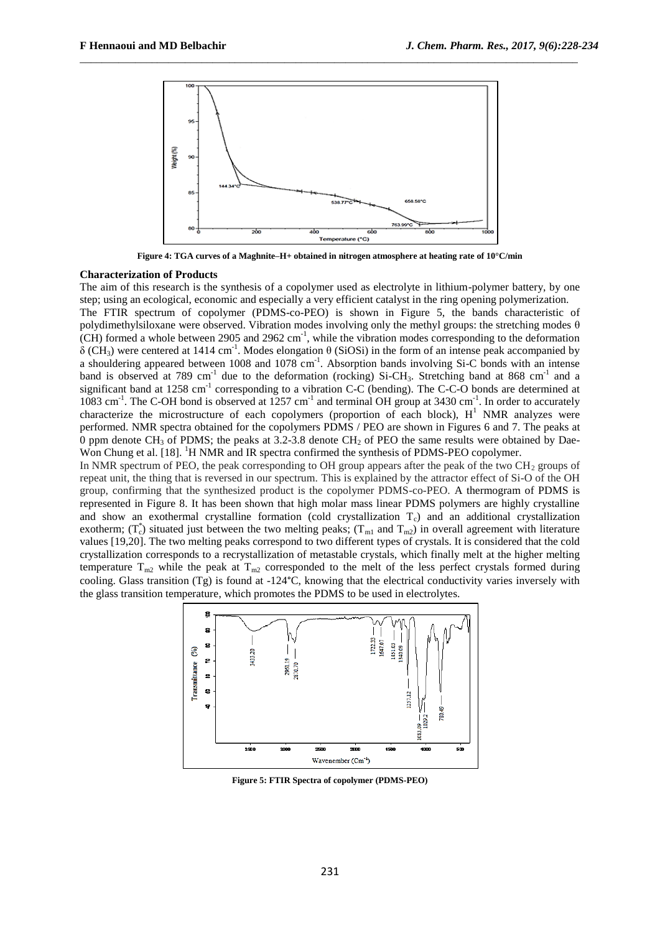

\_\_\_\_\_\_\_\_\_\_\_\_\_\_\_\_\_\_\_\_\_\_\_\_\_\_\_\_\_\_\_\_\_\_\_\_\_\_\_\_\_\_\_\_\_\_\_\_\_\_\_\_\_\_\_\_\_\_\_\_\_\_\_\_\_\_\_\_\_\_\_\_\_\_\_\_\_\_\_\_\_\_\_\_\_\_\_\_\_\_

**Figure 4: TGA curves of a Maghnite–H+ obtained in nitrogen atmosphere at heating rate of 10°C/min**

### **Characterization of Products**

The aim of this research is the synthesis of a copolymer used as electrolyte in lithium-polymer battery, by one step; using an ecological, economic and especially a very efficient catalyst in the ring opening polymerization.

The FTIR spectrum of copolymer (PDMS-co-PEO) is shown in Figure 5, the bands characteristic of polydimethylsiloxane were observed. Vibration modes involving only the methyl groups: the stretching modes θ  $(CH)$  formed a whole between 2905 and 2962 cm<sup>-1</sup>, while the vibration modes corresponding to the deformation  $\delta$  (CH<sub>3</sub>) were centered at 1414 cm<sup>-1</sup>. Modes elongation  $\theta$  (SiOSi) in the form of an intense peak accompanied by a shouldering appeared between 1008 and 1078 cm<sup>-1</sup>. Absorption bands involving Si-C bonds with an intense band is observed at 789 cm<sup>-1</sup> due to the deformation (rocking) Si-CH<sub>3</sub>. Stretching band at 868 cm<sup>-1</sup> and a significant band at 1258 cm<sup>-1</sup> corresponding to a vibration C-C (bending). The C-C-O bonds are determined at 1083 cm<sup>-1</sup>. The C-OH bond is observed at 1257 cm<sup>-1</sup> and terminal OH group at 3430 cm<sup>-1</sup>. In order to accurately characterize the microstructure of each copolymers (proportion of each block),  $H<sup>1</sup>$  NMR analyzes were performed. NMR spectra obtained for the copolymers PDMS / PEO are shown in Figures 6 and 7. The peaks at 0 ppm denote  $CH_3$  of PDMS; the peaks at 3.2-3.8 denote  $CH_2$  of PEO the same results were obtained by Dae-Won Chung et al. [18]. <sup>1</sup>H NMR and IR spectra confirmed the synthesis of PDMS-PEO copolymer.

In NMR spectrum of PEO, the peak corresponding to OH group appears after the peak of the two  $CH_2$  groups of repeat unit, the thing that is reversed in our spectrum. This is explained by the attractor effect of Si-O of the OH group, confirming that the synthesized product is the copolymer PDMS-co-PEO. A thermogram of PDMS is represented in Figure 8. It has been shown that high molar mass linear PDMS polymers are highly crystalline and show an exothermal crystalline formation (cold crystallization  $T_c$ ) and an additional crystallization exotherm;  $(T_c^*)$  situated just between the two melting peaks;  $(T_{m1}$  and  $T_{m2})$  in overall agreement with literature values [19,20]. The two melting peaks correspond to two different types of crystals. It is considered that the cold crystallization corresponds to a recrystallization of metastable crystals, which finally melt at the higher melting temperature  $T_{m2}$  while the peak at  $T_{m2}$  corresponded to the melt of the less perfect crystals formed during cooling. Glass transition (Tg) is found at -124°C, knowing that the electrical conductivity varies inversely with the glass transition temperature, which promotes the PDMS to be used in electrolytes.



**Figure 5: FTIR Spectra of copolymer (PDMS-PEO)**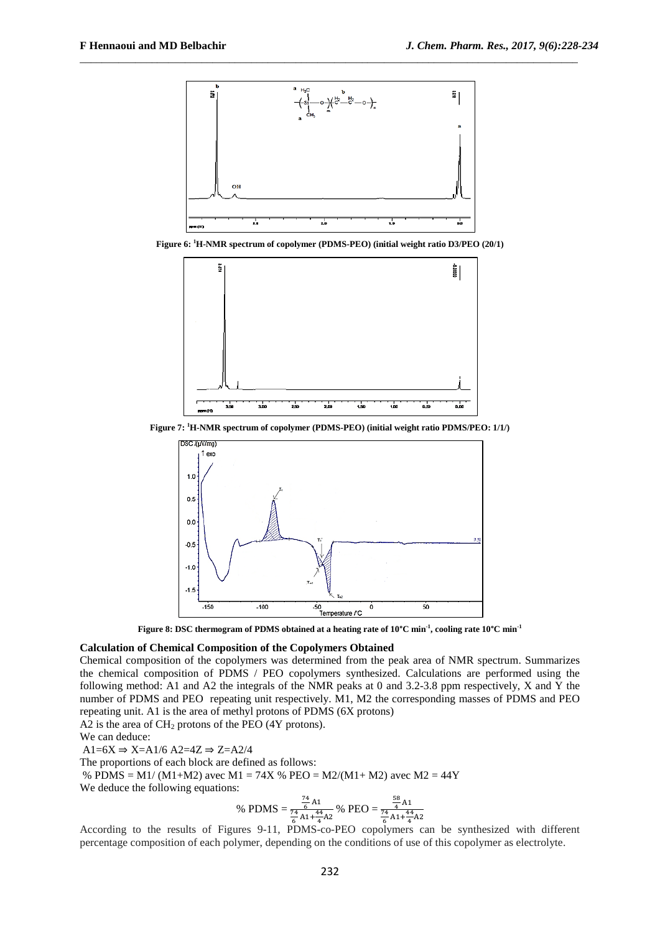

\_\_\_\_\_\_\_\_\_\_\_\_\_\_\_\_\_\_\_\_\_\_\_\_\_\_\_\_\_\_\_\_\_\_\_\_\_\_\_\_\_\_\_\_\_\_\_\_\_\_\_\_\_\_\_\_\_\_\_\_\_\_\_\_\_\_\_\_\_\_\_\_\_\_\_\_\_\_\_\_\_\_\_\_\_\_\_\_\_\_

**Figure 6: <sup>1</sup>H-NMR spectrum of copolymer (PDMS-PEO) (initial weight ratio D3/PEO (20/1)**



**Figure 7: <sup>1</sup>H-NMR spectrum of copolymer (PDMS-PEO) (initial weight ratio PDMS/PEO: 1/1/)**



**Figure 8: DSC thermogram of PDMS obtained at a heating rate of 10°C min-1 , cooling rate 10°C min-1**

## **Calculation of Chemical Composition of the Copolymers Obtained**

Chemical composition of the copolymers was determined from the peak area of NMR spectrum. Summarizes the chemical composition of PDMS / PEO copolymers synthesized. Calculations are performed using the following method: A1 and A2 the integrals of the NMR peaks at 0 and 3.2-3.8 ppm respectively, X and Y the number of PDMS and PEO [repeating unit](http://context.reverso.net/traduction/anglais-francais/a+repeating+unit) respectively. M1, M2 the corresponding masses of PDMS and PEO repeating unit. A1 is the area of methyl protons of PDMS (6X protons)

A2 is the area of  $CH<sub>2</sub>$  protons of the PEO (4Y protons).

We can deduce:

 $A1=6X \Rightarrow X=A1/6 A2=4Z \Rightarrow Z=A2/4$ 

The proportions of each block are defined as follows:

% PDMS = M1/ (M1+M2) avec M1 = 74X % PEO = M2/(M1+ M2) avec M2 = 44Y

We deduce the following equations:

% PDMS = 
$$
\frac{\frac{74}{6} \text{ A1}}{\frac{74}{6} \text{ A1} + \frac{44}{4} \text{ A2}}
$$
% PEO =  $\frac{\frac{58}{4} \text{ A1}}{\frac{74}{6} \text{ A1} + \frac{44}{4} \text{ A2}}$ 

According to the results of Figures 9-11, PDMS-co-PEO copolymers can be synthesized with different percentage composition of each polymer, depending on the conditions of use of this copolymer as electrolyte.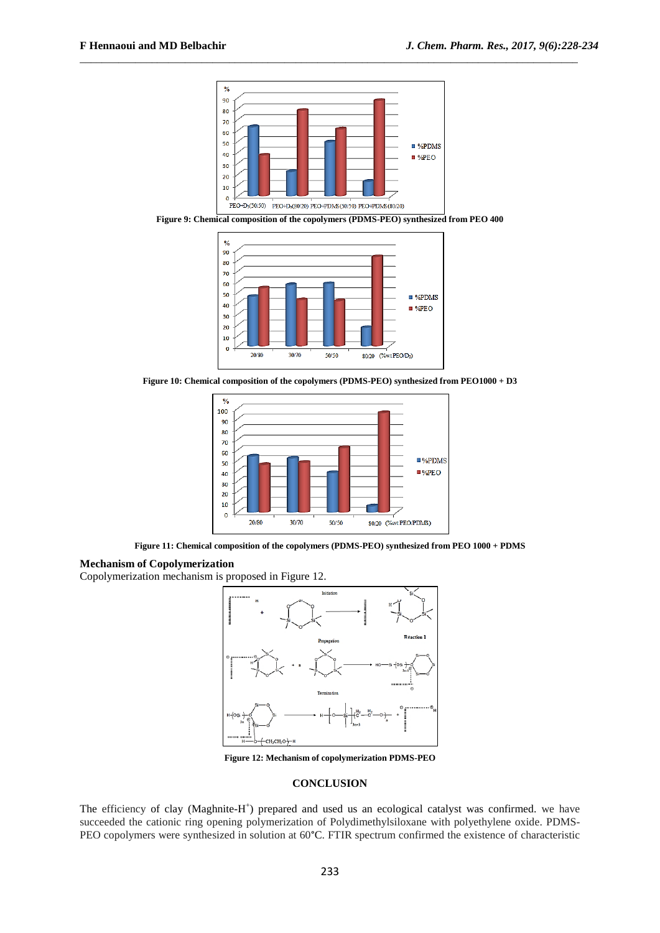

\_\_\_\_\_\_\_\_\_\_\_\_\_\_\_\_\_\_\_\_\_\_\_\_\_\_\_\_\_\_\_\_\_\_\_\_\_\_\_\_\_\_\_\_\_\_\_\_\_\_\_\_\_\_\_\_\_\_\_\_\_\_\_\_\_\_\_\_\_\_\_\_\_\_\_\_\_\_\_\_\_\_\_\_\_\_\_\_\_\_

**Figure 9: Chemical composition of the copolymers (PDMS-PEO) synthesized from PEO 400**



**Figure 10: Chemical composition of the copolymers (PDMS-PEO) synthesized from PEO1000 + D3**



**Figure 11: Chemical composition of the copolymers (PDMS-PEO) synthesized from PEO 1000 + PDMS**

# **Mechanism of Copolymerization**

Copolymerization mechanism is proposed in Figure 12.



**Figure 12: Mechanism of copolymerization PDMS-PEO**

### **CONCLUSION**

The efficiency of clay (Maghnite-H<sup>+</sup>) prepared and used us an ecological catalyst was confirmed. we have succeeded the cationic ring opening polymerization of Polydimethylsiloxane with polyethylene oxide. PDMS-PEO copolymers were synthesized in solution at 60°C. FTIR spectrum confirmed the existence of characteristic